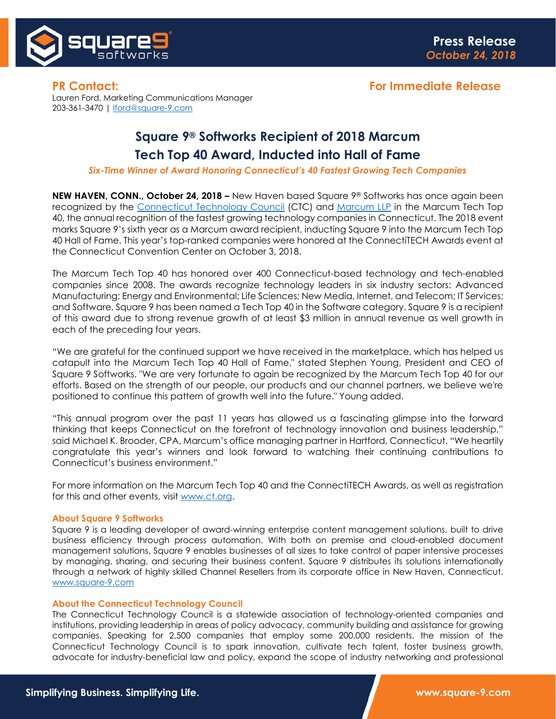

Lauren Ford, Marketing Communications Manager 203-361-3470 | [lford@square-9.com](mailto:lford@square-9.com)

# **Square 9® Softworks Recipient of 2018 Marcum Tech Top 40 Award, Inducted into Hall of Fame**

*Six-Time Winner of Award Honoring Connecticut's 40 Fastest Growing Tech Companies*

**NEW HAVEN, CONN., October 24, 2018 –** New Haven based Square 9® Softworks has once again been recognized by the [Connecticut Technology Council](http://www.ct.org/) (CTC) and [Marcum LLP](http://www.marcumllp.com/index) in the Marcum Tech Top 40, the annual recognition of the fastest growing technology companies in Connecticut. The 2018 event marks Square 9's sixth year as a Marcum award recipient, inducting Square 9 into the Marcum Tech Top 40 Hall of Fame. This year's top-ranked companies were honored at the ConnectiTECH Awards event at the Connecticut Convention Center on October 3, 2018.

The Marcum Tech Top 40 has honored over 400 Connecticut-based technology and tech-enabled companies since 2008. The awards recognize technology leaders in six industry sectors: Advanced Manufacturing; Energy and Environmental; Life Sciences; New Media, Internet, and Telecom; IT Services; and Software. Square 9 has been named a Tech Top 40 in the Software category. Square 9 is a recipient of this award due to strong revenue growth of at least \$3 million in annual revenue as well growth in each of the preceding four years.

"We are grateful for the continued support we have received in the marketplace, which has helped us catapult into the Marcum Tech Top 40 Hall of Fame," stated Stephen Young, President and CEO of Square 9 Softworks. "We are very fortunate to again be recognized by the Marcum Tech Top 40 for our efforts. Based on the strength of our people, our products and our channel partners, we believe we're positioned to continue this pattern of growth well into the future." Young added.

"This annual program over the past 11 years has allowed us a fascinating glimpse into the forward thinking that keeps Connecticut on the forefront of technology innovation and business leadership," said Michael K. Brooder, CPA, Marcum's office managing partner in Hartford, Connecticut. "We heartily congratulate this year's winners and look forward to watching their continuing contributions to Connecticut's business environment."

For more information on the Marcum Tech Top 40 and the ConnectiTECH Awards, as well as registration for this and other events, visit [www.ct.org.](http://www.ct.org/)

### **About Square 9 Softworks**

Square 9 is a leading developer of award-winning enterprise content management solutions, built to drive business efficiency through process automation. With both on premise and cloud-enabled document management solutions, Square 9 enables businesses of all sizes to take control of paper intensive processes by managing, sharing, and securing their business content. Square 9 distributes its solutions internationally through a network of highly skilled Channel Resellers from its corporate office in New Haven, Connecticut. [www.square-9.com](http://www.square-9.com/)

## **About the Connecticut Technology Council**

The Connecticut Technology Council is a statewide association of technology-oriented companies and institutions, providing leadership in areas of policy advocacy, community building and assistance for growing companies. Speaking for 2,500 companies that employ some 200,000 residents, the mission of the Connecticut Technology Council is to spark innovation, cultivate tech talent, foster business growth, advocate for industry-beneficial law and policy, expand the scope of industry networking and professional